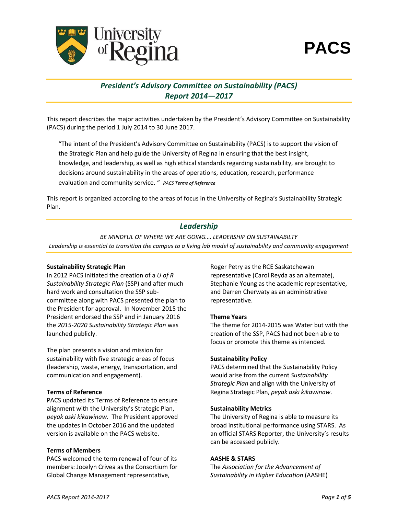

# *President's Advisory Committee on Sustainability (PACS) Report 2014—2017*

This report describes the major activities undertaken by the President's Advisory Committee on Sustainability (PACS) during the period 1 July 2014 to 30 June 2017.

"The intent of the President's Advisory Committee on Sustainability (PACS) is to support the vision of the Strategic Plan and help guide the University of Regina in ensuring that the best insight, knowledge, and leadership, as well as high ethical standards regarding sustainability, are brought to decisions around sustainability in the areas of operations, education, research, performance evaluation and community service. " *PACS Terms of Reference*

This report is organized according to the areas of focus in the University of Regina's Sustainability Strategic Plan.

# *Leadership*

*BE MINDFUL OF WHERE WE ARE GOING.… LEADERSHIP ON SUSTAINABILTY Leadership is essential to transition the campus to a living lab model of sustainability and community engagement*

### **Sustainability Strategic Plan**

In 2012 PACS initiated the creation of a *U of R Sustainability Strategic Plan* (SSP) and after much hard work and consultation the SSP subcommittee along with PACS presented the plan to the President for approval. In November 2015 the President endorsed the SSP and in January 2016 the *2015-2020 Sustainability Strategic Plan* was launched publicly.

The plan presents a vision and mission for sustainability with five strategic areas of focus (leadership, waste, energy, transportation, and communication and engagement).

### **Terms of Reference**

PACS updated its Terms of Reference to ensure alignment with the University's Strategic Plan, *peyak aski kikawinaw*. The President approved the updates in October 2016 and the updated version is available on the PACS website.

### **Terms of Members**

PACS welcomed the term renewal of four of its members: Jocelyn Crivea as the Consortium for Global Change Management representative,

Roger Petry as the RCE Saskatchewan representative (Carol Reyda as an alternate), Stephanie Young as the academic representative, and Darren Cherwaty as an administrative representative.

### **Theme Years**

The theme for 2014-2015 was Water but with the creation of the SSP, PACS had not been able to focus or promote this theme as intended.

### **Sustainability Policy**

PACS determined that the Sustainability Policy would arise from the current *Sustainability Strategic Plan* and align with the University of Regina Strategic Plan, *peyak aski kikawinaw*.

### **Sustainability Metrics**

The University of Regina is able to measure its broad institutional performance using STARS. As an official STARS Reporter, the University's results can be accessed publicly.

### **AASHE & STARS**

The *Association for the Advancement of Sustainability in Higher Education* (AASHE)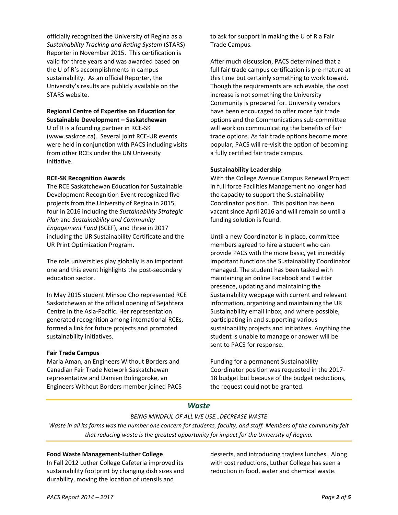officially recognized the University of Regina as a *Sustainability Tracking and Rating System* (STARS) Reporter in November 2015. This certification is valid for three years and was awarded based on the U of R's accomplishments in campus sustainability. As an official Reporter, the University's results are publicly available on the STARS website.

### **Regional Centre of Expertise on Education for Sustainable Development – Saskatchewan**

U of R is a founding partner in RCE-SK (www.saskrce.ca). Several joint RCE-UR events were held in conjunction with PACS including visits from other RCEs under the UN University initiative.

### **RCE-SK Recognition Awards**

The RCE Saskatchewan Education for Sustainable Development Recognition Event recognized five projects from the University of Regina in 2015, four in 2016 including the *Sustainability Strategic Plan* and *Sustainability and Community Engagement Fund* (SCEF), and three in 2017 including the UR Sustainability Certificate and the UR Print Optimization Program.

The role universities play globally is an important one and this event highlights the post-secondary education sector.

In May 2015 student Minsoo Cho represented RCE Saskatchewan at the official opening of Sejahtera Centre in the Asia-Pacific. Her representation generated recognition among international RCEs, formed a link for future projects and promoted sustainability initiatives.

# **Fair Trade Campus**

Maria Aman, an Engineers Without Borders and Canadian Fair Trade Network Saskatchewan representative and Damien Bolingbroke, an Engineers Without Borders member joined PACS

to ask for support in making the U of R a Fair Trade Campus.

After much discussion, PACS determined that a full fair trade campus certification is pre-mature at this time but certainly something to work toward. Though the requirements are achievable, the cost increase is not something the University Community is prepared for. University vendors have been encouraged to offer more fair trade options and the Communications sub-committee will work on communicating the benefits of fair trade options. As fair trade options become more popular, PACS will re-visit the option of becoming a fully certified fair trade campus.

# **Sustainability Leadership**

With the College Avenue Campus Renewal Project in full force Facilities Management no longer had the capacity to support the Sustainability Coordinator position. This position has been vacant since April 2016 and will remain so until a funding solution is found.

Until a new Coordinator is in place, committee members agreed to hire a student who can provide PACS with the more basic, yet incredibly important functions the Sustainability Coordinator managed. The student has been tasked with maintaining an online Facebook and Twitter presence, updating and maintaining the Sustainability webpage with current and relevant information, organizing and maintaining the UR Sustainability email inbox, and where possible, participating in and supporting various sustainability projects and initiatives. Anything the student is unable to manage or answer will be sent to PACS for response.

Funding for a permanent Sustainability Coordinator position was requested in the 2017- 18 budget but because of the budget reductions, the request could not be granted.

# *Waste*

# *BEING MINDFUL OF ALL WE USE…DECREASE WASTE*

*Waste in all its forms was the number one concern for students, faculty, and staff. Members of the community felt that reducing waste is the greatest opportunity for impact for the University of Regina.*

# **Food Waste Management-Luther College**

In Fall 2012 Luther College Cafeteria improved its sustainability footprint by changing dish sizes and durability, moving the location of utensils and

desserts, and introducing trayless lunches. Along with cost reductions, Luther College has seen a reduction in food, water and chemical waste.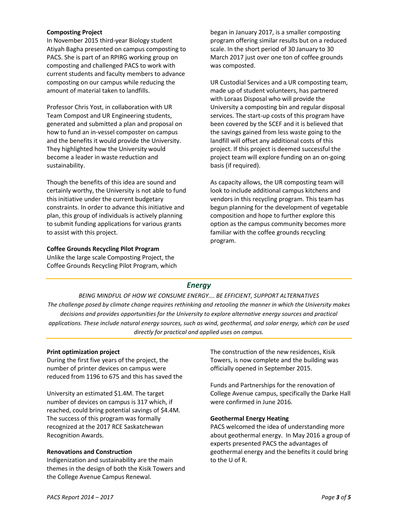### **Composting Project**

In November 2015 third-year Biology student Atiyah Bagha presented on campus composting to PACS. She is part of an RPIRG working group on composting and challenged PACS to work with current students and faculty members to advance composting on our campus while reducing the amount of material taken to landfills.

Professor Chris Yost, in collaboration with UR Team Compost and UR Engineering students, generated and submitted a plan and proposal on how to fund an in-vessel composter on campus and the benefits it would provide the University. They highlighted how the University would become a leader in waste reduction and sustainability.

Though the benefits of this idea are sound and certainly worthy, the University is not able to fund this initiative under the current budgetary constraints. In order to advance this initiative and plan, this group of individuals is actively planning to submit funding applications for various grants to assist with this project.

#### **Coffee Grounds Recycling Pilot Program**

Unlike the large scale Composting Project, the Coffee Grounds Recycling Pilot Program, which

began in January 2017, is a smaller composting program offering similar results but on a reduced scale. In the short period of 30 January to 30 March 2017 just over one ton of coffee grounds was composted.

UR Custodial Services and a UR composting team, made up of student volunteers, has partnered with Loraas Disposal who will provide the University a composting bin and regular disposal services. The start-up costs of this program have been covered by the SCEF and it is believed that the savings gained from less waste going to the landfill will offset any additional costs of this project. If this project is deemed successful the project team will explore funding on an on-going basis (if required).

As capacity allows, the UR composting team will look to include additional campus kitchens and vendors in this recycling program. This team has begun planning for the development of vegetable composition and hope to further explore this option as the campus community becomes more familiar with the coffee grounds recycling program.

# *Energy*

*BEING MINDFUL OF HOW WE CONSUME ENERGY…. BE EFFICIENT, SUPPORT ALTERNATIVES The challenge posed by climate change requires rethinking and retooling the manner in which the University makes decisions and provides opportunities for the University to explore alternative energy sources and practical applications. These include natural energy sources, such as wind, geothermal, and solar energy, which can be used directly for practical and applied uses on campus.*

### **Print optimization project**

During the first five years of the project, the number of printer devices on campus were reduced from 1196 to 675 and this has saved the

University an estimated \$1.4M. The target number of devices on campus is 317 which, if reached, could bring potential savings of \$4.4M. The success of this program was formally recognized at the 2017 RCE Saskatchewan Recognition Awards.

### **Renovations and Construction**

Indigenization and sustainability are the main themes in the design of both the Kisik Towers and the College Avenue Campus Renewal.

The construction of the new residences, Kisik Towers, is now complete and the building was officially opened in September 2015.

Funds and Partnerships for the renovation of College Avenue campus, specifically the Darke Hall were confirmed in June 2016.

### **Geothermal Energy Heating**

PACS welcomed the idea of understanding more about geothermal energy. In May 2016 a group of experts presented PACS the advantages of geothermal energy and the benefits it could bring to the U of R.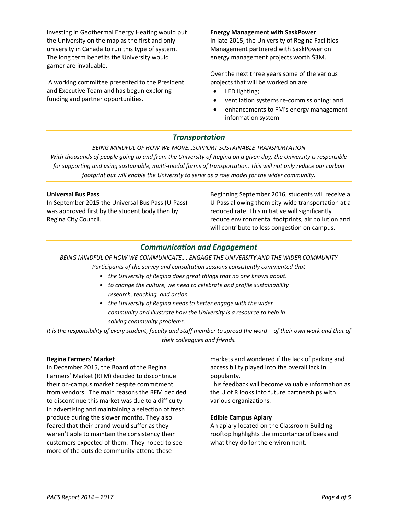Investing in Geothermal Energy Heating would put the University on the map as the first and only university in Canada to run this type of system. The long term benefits the University would garner are invaluable.

A working committee presented to the President and Executive Team and has begun exploring funding and partner opportunities.

### **Energy Management with SaskPower**

In late 2015, the University of Regina Facilities Management partnered with SaskPower on energy management projects worth \$3M.

Over the next three years some of the various projects that will be worked on are:

- LED lighting;
- ventilation systems re-commissioning; and
- enhancements to FM's energy management information system

# *Transportation*

*BEING MINDFUL OF HOW WE MOVE…SUPPORT SUSTAINABLE TRANSPORTATION With thousands of people going to and from the University of Regina on a given day, the University is responsible for supporting and using sustainable, multi-modal forms of transportation. This will not only reduce our carbon footprint but will enable the University to serve as a role model for the wider community.*

### **Universal Bus Pass**

In September 2015 the Universal Bus Pass (U-Pass) was approved first by the student body then by Regina City Council.

Beginning September 2016, students will receive a U-Pass allowing them city-wide transportation at a reduced rate. This initiative will significantly reduce environmental footprints, air pollution and will contribute to less congestion on campus.

# *Communication and Engagement*

*BEING MINDFUL OF HOW WE COMMUNICATE…. ENGAGE THE UNIVERSITY AND THE WIDER COMMUNITY*

*Participants of the survey and consultation sessions consistently commented that*

- *the University of Regina does great things that no one knows about.*
- *to change the culture, we need to celebrate and profile sustainability research, teaching, and action.*
- *the University of Regina needs to better engage with the wider community and illustrate how the University is a resource to help in solving community problems.*

*It is the responsibility of every student, faculty and staff member to spread the word – of their own work and that of their colleagues and friends.*

#### **Regina Farmers' Market**

In December 2015, the Board of the Regina Farmers' Market (RFM) decided to discontinue their on-campus market despite commitment from vendors. The main reasons the RFM decided to discontinue this market was due to a difficulty in advertising and maintaining a selection of fresh produce during the slower months. They also feared that their brand would suffer as they weren't able to maintain the consistency their customers expected of them. They hoped to see more of the outside community attend these

markets and wondered if the lack of parking and accessibility played into the overall lack in popularity.

This feedback will become valuable information as the U of R looks into future partnerships with various organizations.

#### **Edible Campus Apiary**

An apiary located on the Classroom Building rooftop highlights the importance of bees and what they do for the environment.